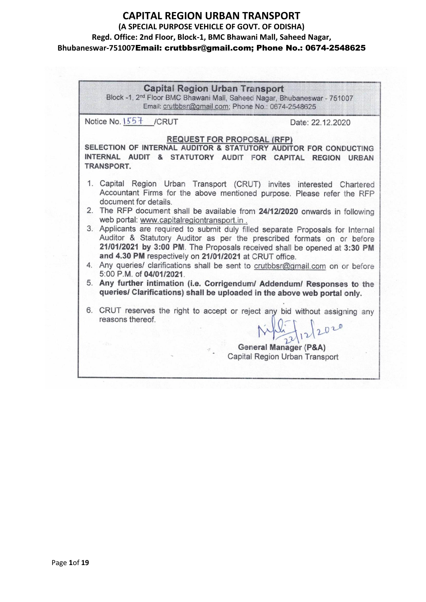| <b>Capital Region Urban Transport</b><br>Block -1, 2 <sup>nd</sup> Floor BMC Bhawani Mall, Saheed Nagar, Bhubaneswar - 751007<br>Email: crutbbsr@gmail.com; Phone No.: 0674-2548625                                                                                                                                                                                                                                                                                                                                                                                                                                                                                                                                                                                                                                                                                             |                                                                                       |  |  |
|---------------------------------------------------------------------------------------------------------------------------------------------------------------------------------------------------------------------------------------------------------------------------------------------------------------------------------------------------------------------------------------------------------------------------------------------------------------------------------------------------------------------------------------------------------------------------------------------------------------------------------------------------------------------------------------------------------------------------------------------------------------------------------------------------------------------------------------------------------------------------------|---------------------------------------------------------------------------------------|--|--|
| Notice No. 1557 / CRUT                                                                                                                                                                                                                                                                                                                                                                                                                                                                                                                                                                                                                                                                                                                                                                                                                                                          | Date: 22.12.2020                                                                      |  |  |
| <b>REQUEST FOR PROPOSAL (RFP)</b><br>SELECTION OF INTERNAL AUDITOR & STATUTORY AUDITOR FOR CONDUCTING<br>INTERNAL AUDIT & STATUTORY AUDIT FOR CAPITAL REGION URBAN<br>TRANSPORT.                                                                                                                                                                                                                                                                                                                                                                                                                                                                                                                                                                                                                                                                                                |                                                                                       |  |  |
| 1. Capital Region Urban Transport (CRUT) invites interested Chartered<br>Accountant Firms for the above mentioned purpose. Please refer the RFP<br>document for details.<br>2. The RFP document shall be available from 24/12/2020 onwards in following<br>web portal: www.capitalregiontransport.in.<br>3. Applicants are required to submit duly filled separate Proposals for Internal<br>Auditor & Statutory Auditor as per the prescribed formats on or before<br>21/01/2021 by 3:00 PM. The Proposals received shall be opened at 3:30 PM<br>and 4.30 PM respectively on 21/01/2021 at CRUT office.<br>4. Any queries/ clarifications shall be sent to crutbbsr@gmail.com on or before<br>5:00 P.M. of 04/01/2021.<br>5. Any further intimation (i.e. Corrigendum/ Addendum/ Responses to the<br>queries/ Clarifications) shall be uploaded in the above web portal only. |                                                                                       |  |  |
| 6. CRUT reserves the right to accept or reject any bid without assigning any<br>reasons thereof.                                                                                                                                                                                                                                                                                                                                                                                                                                                                                                                                                                                                                                                                                                                                                                                | $\frac{\mu_{1}}{21122020}$<br>General Manager (P&A)<br>Capital Region Urban Transport |  |  |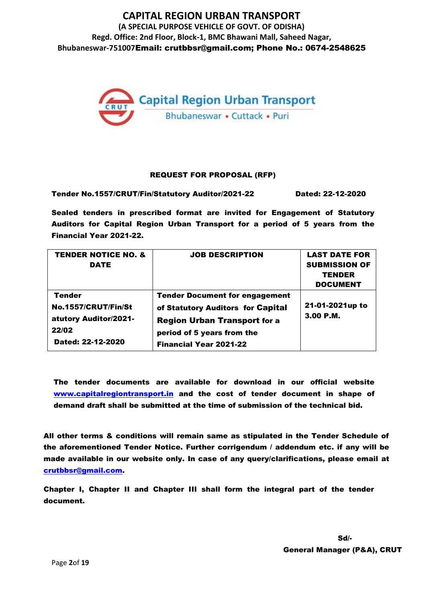

#### REQUEST FOR PROPOSAL (RFP)

Tender No.1557/CRUT/Fin/Statutory Auditor/2021-22 Dated: 22-12-2020

Sealed tenders in prescribed format are invited for Engagement of Statutory Auditors for Capital Region Urban Transport for a period of 5 years from the Financial Year 2021-22.

| <b>TENDER NOTICE NO. &amp;</b><br>DATE                                               | <b>JOB DESCRIPTION</b>                                                                                                                                                           | <b>LAST DATE FOR</b><br><b>SUBMISSION OF</b><br><b>TENDER</b><br><b>DOCUMENT</b> |
|--------------------------------------------------------------------------------------|----------------------------------------------------------------------------------------------------------------------------------------------------------------------------------|----------------------------------------------------------------------------------|
| Tender<br>No.1557/CRUT/Fin/St<br>atutory Auditor/2021-<br>22/02<br>Dated: 22-12-2020 | <b>Tender Document for engagement</b><br>of Statutory Auditors for Capital<br><b>Region Urban Transport for a</b><br>period of 5 years from the<br><b>Financial Year 2021-22</b> | 21-01-2021up to<br>3.00P.M.                                                      |

The tender documents are available for download in our official website www.capitalregiontransport.in and the cost of tender document in shape of demand draft shall be submitted at the time of submission of the technical bid.

All other terms & conditions will remain same as stipulated in the Tender Schedule of the aforementioned Tender Notice. Further corrigendum / addendum etc. if any will be made available in our website only. In case of any query/clarifications, please email at [crutbbsr@gmail.com.](mailto:crutbbsr@gmail.com)

Chapter I, Chapter II and Chapter III shall form the integral part of the tender document.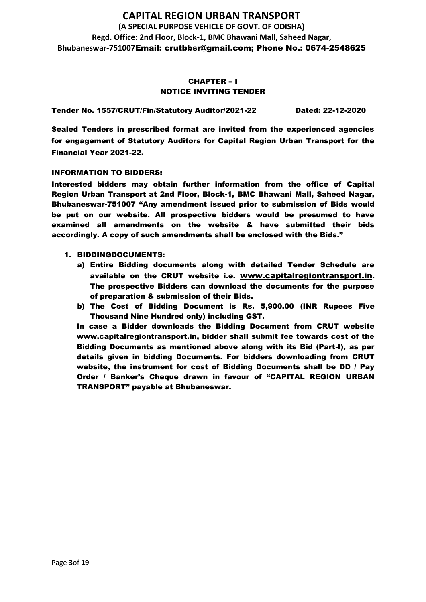### CHAPTER – I NOTICE INVITING TENDER

Tender No. 1557/CRUT/Fin/Statutory Auditor/2021-22 Dated: 22-12-2020

Sealed Tenders in prescribed format are invited from the experienced agencies for engagement of Statutory Auditors for Capital Region Urban Transport for the Financial Year 2021-22.

#### INFORMATION TO BIDDERS:

Interested bidders may obtain further information from the office of Capital Region Urban Transport at 2nd Floor, Block-1, BMC Bhawani Mall, Saheed Nagar, Bhubaneswar-751007 "Any amendment issued prior to submission of Bids would be put on our website. All prospective bidders would be presumed to have examined all amendments on the website & have submitted their bids accordingly. A copy of such amendments shall be enclosed with the Bids."

- 1. BIDDINGDOCUMENTS:
	- a) Entire Bidding documents along with detailed Tender Schedule are available on the CRUT website i.e. [www.capitalregiontransport.in](http://www.birdgroup.co.in/). The prospective Bidders can download the documents for the purpose of preparation & submission of their Bids.
	- b) The Cost of Bidding Document is Rs. 5,900.00 (INR Rupees Five Thousand Nine Hundred only) including GST.

In case a Bidder downloads the Bidding Document from CRUT website [www.capitalregiontransport.in,](http://www.birdgroup.co.in/) bidder shall submit fee towards cost of the Bidding Documents as mentioned above along with its Bid (Part-I), as per details given in bidding Documents. For bidders downloading from CRUT website, the instrument for cost of Bidding Documents shall be DD / Pay Order / Banker's Cheque drawn in favour of "CAPITAL REGION URBAN TRANSPORT" payable at Bhubaneswar.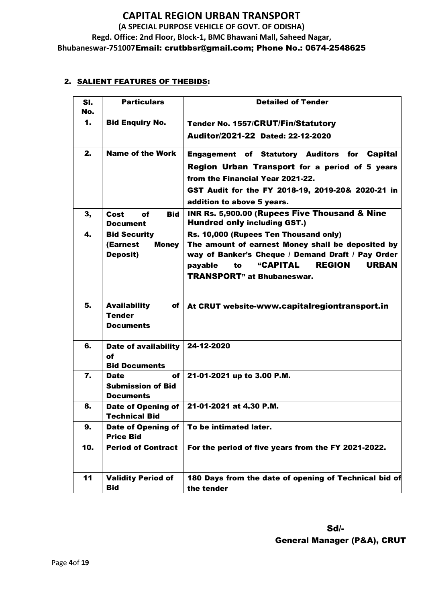### 2. SALIENT FEATURES OF THEBIDS:

| SI.<br>No. | <b>Particulars</b>                                                 | <b>Detailed of Tender</b>                                                                                                                                                                                                                                  |  |
|------------|--------------------------------------------------------------------|------------------------------------------------------------------------------------------------------------------------------------------------------------------------------------------------------------------------------------------------------------|--|
| 1.         | <b>Bid Enquiry No.</b>                                             | <b>Tender No. 1557/CRUT/Fin/Statutory</b><br>Auditor/2021-22 Dated: 22-12-2020                                                                                                                                                                             |  |
| 2.         | <b>Name of the Work</b>                                            | <b>Engagement of Statutory Auditors for Capital</b><br>Region Urban Transport for a period of 5 years<br>from the Financial Year 2021-22.<br>GST Audit for the FY 2018-19, 2019-20& 2020-21 in<br>addition to above 5 years.                               |  |
| 3,         | <b>Bid</b><br>Cost<br>of<br><b>Document</b>                        | <b>INR Rs. 5,900.00 (Rupees Five Thousand &amp; Nine</b><br><b>Hundred only including GST.)</b>                                                                                                                                                            |  |
| 4.         | <b>Bid Security</b><br>(Earnest<br><b>Money</b><br><b>Deposit)</b> | Rs. 10,000 (Rupees Ten Thousand only)<br>The amount of earnest Money shall be deposited by<br>way of Banker's Cheque / Demand Draft / Pay Order<br><b>"CAPITAL</b><br><b>REGION</b><br><b>URBAN</b><br>to<br>payable<br><b>TRANSPORT</b> " at Bhubaneswar. |  |
| 5.         | <b>Availability</b><br>of<br><b>Tender</b><br><b>Documents</b>     | At CRUT website-www.capitalregiontransport.in                                                                                                                                                                                                              |  |
| 6.         | Date of availability<br>of<br><b>Bid Documents</b>                 | 24-12-2020                                                                                                                                                                                                                                                 |  |
| 7.         | of<br><b>Date</b><br><b>Submission of Bid</b><br><b>Documents</b>  | 21-01-2021 up to 3.00 P.M.                                                                                                                                                                                                                                 |  |
| 8.         | <b>Date of Opening of</b><br><b>Technical Bid</b>                  | 21-01-2021 at 4.30 P.M.                                                                                                                                                                                                                                    |  |
| 9.         | <b>Date of Opening of</b><br><b>Price Bid</b>                      | To be intimated later.                                                                                                                                                                                                                                     |  |
| 10.        | <b>Period of Contract</b>                                          | For the period of five years from the FY 2021-2022.                                                                                                                                                                                                        |  |
| 11         | <b>Validity Period of</b><br><b>Bid</b>                            | 180 Days from the date of opening of Technical bid of<br>the tender                                                                                                                                                                                        |  |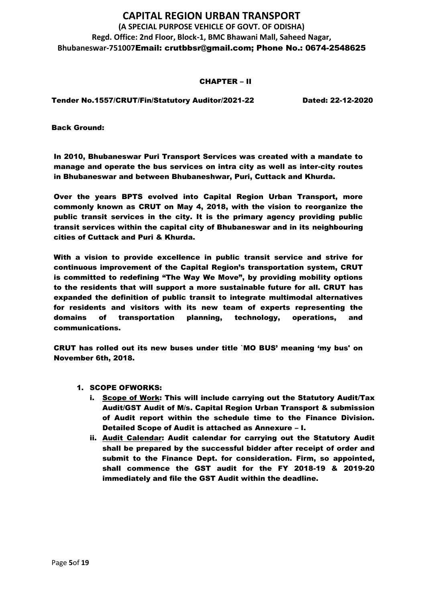#### CHAPTER – II

Tender No.1557/CRUT/Fin/Statutory Auditor/2021-22 Dated: 22-12-2020

Back Ground:

In 2010, Bhubaneswar Puri Transport Services was created with a mandate to manage and operate the bus services on intra city as well as inter-city routes in Bhubaneswar and between Bhubaneshwar, Puri, Cuttack and Khurda.

Over the years BPTS evolved into Capital Region Urban Transport, more commonly known as CRUT on May 4, 2018, with the vision to reorganize the public transit services in the city. It is the primary agency providing public transit services within the capital city of Bhubaneswar and in its neighbouring cities of Cuttack and Puri & Khurda.

With a vision to provide excellence in public transit service and strive for continuous improvement of the Capital Region's transportation system, CRUT is committed to redefining "The Way We Move", by providing mobility options to the residents that will support a more sustainable future for all. CRUT has expanded the definition of public transit to integrate multimodal alternatives for residents and visitors with its new team of experts representing the domains of transportation planning, technology, operations, and communications.

CRUT has rolled out its new buses under title `MO BUS' meaning 'my bus' on November 6th, 2018.

- 1. SCOPE OFWORKS:
	- i. Scope of Work: This will include carrying out the Statutory Audit/Tax Audit/GST Audit of M/s. Capital Region Urban Transport & submission of Audit report within the schedule time to the Finance Division. Detailed Scope of Audit is attached as Annexure – I.
	- ii. Audit Calendar: Audit calendar for carrying out the Statutory Audit shall be prepared by the successful bidder after receipt of order and submit to the Finance Dept. for consideration. Firm, so appointed, shall commence the GST audit for the FY 2018-19 & 2019-20 immediately and file the GST Audit within the deadline.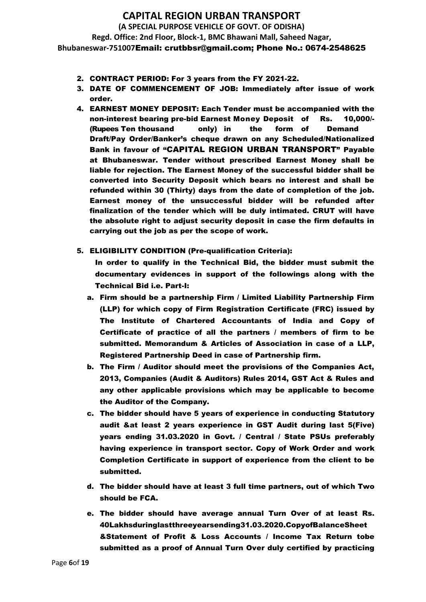- 2. CONTRACT PERIOD: For 3 years from the FY 2021-22.
- 3. DATE OF COMMENCEMENT OF JOB: Immediately after issue of work order.
- 4. EARNEST MONEY DEPOSIT: Each Tender must be accompanied with the non-interest bearing pre-bid Earnest Money Deposit of Rs. 10,000/- (Rupees Ten thousand only) in the form of Demand Draft/Pay Order/Banker's cheque drawn on any Scheduled/Nationalized Bank in favour of "CAPITAL REGION URBAN TRANSPORT" Payable at Bhubaneswar. Tender without prescribed Earnest Money shall be liable for rejection. The Earnest Money of the successful bidder shall be converted into Security Deposit which bears no interest and shall be refunded within 30 (Thirty) days from the date of completion of the job. Earnest money of the unsuccessful bidder will be refunded after finalization of the tender which will be duly intimated. CRUT will have the absolute right to adjust security deposit in case the firm defaults in carrying out the job as per the scope of work.
- 5. ELIGIBILITY CONDITION (Pre-qualification Criteria):

In order to qualify in the Technical Bid, the bidder must submit the documentary evidences in support of the followings along with the Technical Bid i.e. Part-I:

- a. Firm should be a partnership Firm / Limited Liability Partnership Firm (LLP) for which copy of Firm Registration Certificate (FRC) issued by The Institute of Chartered Accountants of India and Copy of Certificate of practice of all the partners / members of firm to be submitted. Memorandum & Articles of Association in case of a LLP, Registered Partnership Deed in case of Partnership firm.
- b. The Firm / Auditor should meet the provisions of the Companies Act, 2013, Companies (Audit & Auditors) Rules 2014, GST Act & Rules and any other applicable provisions which may be applicable to become the Auditor of the Company.
- c. The bidder should have 5 years of experience in conducting Statutory audit &at least 2 years experience in GST Audit during last 5(Five) years ending 31.03.2020 in Govt. / Central / State PSUs preferably having experience in transport sector. Copy of Work Order and work Completion Certificate in support of experience from the client to be submitted.
- d. The bidder should have at least 3 full time partners, out of which Two should be FCA.
- e. The bidder should have average annual Turn Over of at least Rs. 40Lakhsduringlastthreeyearsending31.03.2020.CopyofBalanceSheet &Statement of Profit & Loss Accounts / Income Tax Return tobe submitted as a proof of Annual Turn Over duly certified by practicing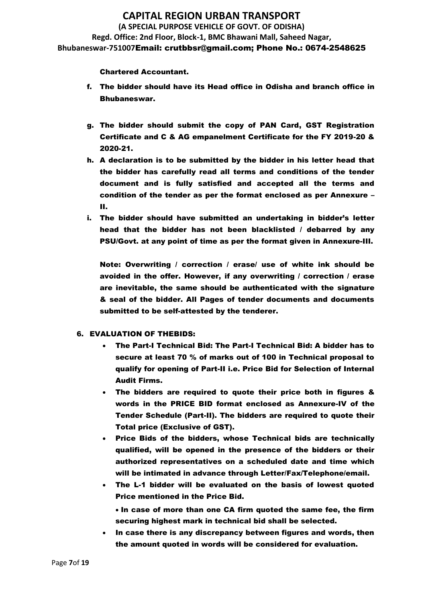#### Chartered Accountant.

- f. The bidder should have its Head office in Odisha and branch office in Bhubaneswar.
- g. The bidder should submit the copy of PAN Card, GST Registration Certificate and C & AG empanelment Certificate for the FY 2019-20 & 2020-21.
- h. A declaration is to be submitted by the bidder in his letter head that the bidder has carefully read all terms and conditions of the tender document and is fully satisfied and accepted all the terms and condition of the tender as per the format enclosed as per Annexure – II.
- i. The bidder should have submitted an undertaking in bidder's letter head that the bidder has not been blacklisted / debarred by any PSU/Govt. at any point of time as per the format given in Annexure-III.

Note: Overwriting / correction / erase/ use of white ink should be avoided in the offer. However, if any overwriting / correction / erase are inevitable, the same should be authenticated with the signature & seal of the bidder. All Pages of tender documents and documents submitted to be self-attested by the tenderer.

### 6. EVALUATION OF THEBIDS:

- The Part-I Technical Bid: The Part-I Technical Bid: A bidder has to secure at least 70 % of marks out of 100 in Technical proposal to qualify for opening of Part-II i.e. Price Bid for Selection of Internal Audit Firms.
- The bidders are required to quote their price both in figures & words in the PRICE BID format enclosed as Annexure-IV of the Tender Schedule (Part-II). The bidders are required to quote their Total price (Exclusive of GST).
- Price Bids of the bidders, whose Technical bids are technically qualified, will be opened in the presence of the bidders or their authorized representatives on a scheduled date and time which will be intimated in advance through Letter/Fax/Telephone/email.
- The L-1 bidder will be evaluated on the basis of lowest quoted Price mentioned in the Price Bid.

• In case of more than one CA firm quoted the same fee, the firm securing highest mark in technical bid shall be selected.

In case there is any discrepancy between figures and words, then the amount quoted in words will be considered for evaluation.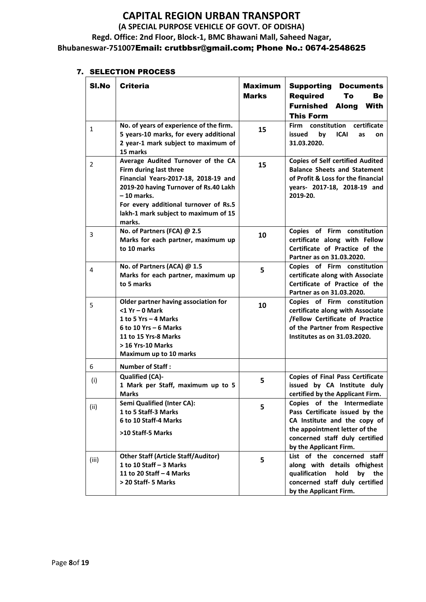### 7. SELECTION PROCESS

| SI.No          | <b>Criteria</b>                                                                                                                                                                                                                                          | <b>Maximum</b><br><b>Marks</b> | <b>Supporting Documents</b><br><b>Required</b><br>То<br>Be<br><b>Furnished</b><br>Along<br>With<br><b>This Form</b>                                                                       |
|----------------|----------------------------------------------------------------------------------------------------------------------------------------------------------------------------------------------------------------------------------------------------------|--------------------------------|-------------------------------------------------------------------------------------------------------------------------------------------------------------------------------------------|
| 1              | No. of years of experience of the firm.<br>5 years-10 marks, for every additional<br>2 year-1 mark subject to maximum of<br>15 marks                                                                                                                     | 15                             | Firm constitution<br>certificate<br>issued<br>by<br>ICAI<br>as<br>on<br>31.03.2020.                                                                                                       |
| $\overline{2}$ | Average Audited Turnover of the CA<br>Firm during last three<br>Financial Years-2017-18, 2018-19 and<br>2019-20 having Turnover of Rs.40 Lakh<br>$-10$ marks.<br>For every additional turnover of Rs.5<br>lakh-1 mark subject to maximum of 15<br>marks. | 15                             | <b>Copies of Self certified Audited</b><br><b>Balance Sheets and Statement</b><br>of Profit & Loss for the financial<br>years- 2017-18, 2018-19 and<br>2019-20.                           |
| 3              | No. of Partners (FCA) @ 2.5<br>Marks for each partner, maximum up<br>to 10 marks                                                                                                                                                                         | 10                             | Copies of Firm constitution<br>certificate along with Fellow<br>Certificate of Practice of the<br>Partner as on 31.03.2020.                                                               |
| 4              | No. of Partners (ACA) @ 1.5<br>Marks for each partner, maximum up<br>to 5 marks                                                                                                                                                                          | 5                              | Copies of Firm constitution<br>certificate along with Associate<br>Certificate of Practice of the<br>Partner as on 31.03.2020.                                                            |
| 5              | Older partner having association for<br>$<$ 1 Yr - 0 Mark<br>1 to 5 Yrs - 4 Marks<br>$6$ to 10 Yrs – 6 Marks<br>11 to 15 Yrs-8 Marks<br>> 16 Yrs-10 Marks<br>Maximum up to 10 marks                                                                      | 10                             | Copies of Firm constitution<br>certificate along with Associate<br>/Fellow Certificate of Practice<br>of the Partner from Respective<br>Institutes as on 31.03.2020.                      |
| 6              | <b>Number of Staff:</b>                                                                                                                                                                                                                                  |                                |                                                                                                                                                                                           |
| (i)            | <b>Qualified (CA)-</b><br>1 Mark per Staff, maximum up to 5<br><b>Marks</b>                                                                                                                                                                              | 5                              | <b>Copies of Final Pass Certificate</b><br>issued by CA Institute duly<br>certified by the Applicant Firm.                                                                                |
| (ii)           | Semi Qualified (Inter CA):<br>1 to 5 Staff-3 Marks<br>6 to 10 Staff-4 Marks<br>>10 Staff-5 Marks                                                                                                                                                         | 5                              | Copies of the Intermediate<br>Pass Certificate issued by the<br>CA Institute and the copy of<br>the appointment letter of the<br>concerned staff duly certified<br>by the Applicant Firm. |
| (iii)          | <b>Other Staff (Article Staff/Auditor)</b><br>1 to 10 Staff $-$ 3 Marks<br>11 to 20 Staff $-$ 4 Marks<br>> 20 Staff- 5 Marks                                                                                                                             | 5                              | List of the concerned staff<br>along with details ofhighest<br>qualification<br>hold<br>by the<br>concerned staff duly certified<br>by the Applicant Firm.                                |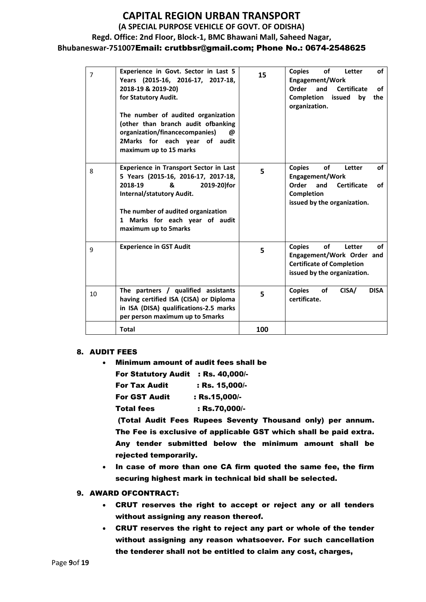| $\overline{7}$ | Experience in Govt. Sector in Last 5<br>Years (2015-16, 2016-17, 2017-18,<br>2018-19 & 2019-20)<br>for Statutory Audit.<br>The number of audited organization<br>(other than branch audit ofbanking<br>organization/financecompanies)<br>@<br>2Marks for each year of audit<br>maximum up to 15 marks | 15  | <b>Copies</b><br>of<br>of<br>Letter<br><b>Engagement/Work</b><br>Order<br>and<br><b>Certificate</b><br>of<br><b>Completion</b> issued<br>bv<br>the<br>organization. |
|----------------|-------------------------------------------------------------------------------------------------------------------------------------------------------------------------------------------------------------------------------------------------------------------------------------------------------|-----|---------------------------------------------------------------------------------------------------------------------------------------------------------------------|
| 8              | Experience in Transport Sector in Last<br>5 Years (2015-16, 2016-17, 2017-18,<br>2018-19<br>&<br>2019-20)for<br>Internal/statutory Audit.<br>The number of audited organization<br>1 Marks for each year of audit<br>maximum up to 5marks                                                             | 5   | <b>of</b><br><b>Copies</b><br>of<br>Letter<br>Engagement/Work<br>Order<br>and Certificate<br>οf<br>Completion<br>issued by the organization.                        |
| 9              | <b>Experience in GST Audit</b>                                                                                                                                                                                                                                                                        | 5   | of<br><b>Copies</b><br>Letter<br>οf<br>Engagement/Work Order and<br><b>Certificate of Completion</b><br>issued by the organization.                                 |
| 10             | The partners / qualified assistants<br>having certified ISA (CISA) or Diploma<br>in ISA (DISA) qualifications-2.5 marks<br>per person maximum up to 5marks                                                                                                                                            | 5   | <b>DISA</b><br>of<br>CISA/<br><b>Copies</b><br>certificate.                                                                                                         |
|                | <b>Total</b>                                                                                                                                                                                                                                                                                          | 100 |                                                                                                                                                                     |

#### 8. AUDIT FEES

• Minimum amount of audit fees shall be

| For Statutory Audit : Rs. 40,000/- |                  |
|------------------------------------|------------------|
| <b>For Tax Audit</b>               | $:$ Rs. 15.000/- |

| I VI TAA AWUR        | <u>, KJ, IJJUUT</u> |
|----------------------|---------------------|
| <b>For GST Audit</b> | : Rs.15,000/-       |

Total fees : Rs.70,000/-

(Total Audit Fees Rupees Seventy Thousand only) per annum. The Fee is exclusive of applicable GST which shall be paid extra. Any tender submitted below the minimum amount shall be rejected temporarily.

• In case of more than one CA firm quoted the same fee, the firm securing highest mark in technical bid shall be selected.

### 9. AWARD OFCONTRACT:

- CRUT reserves the right to accept or reject any or all tenders without assigning any reason thereof.
- CRUT reserves the right to reject any part or whole of the tender without assigning any reason whatsoever. For such cancellation the tenderer shall not be entitled to claim any cost, charges,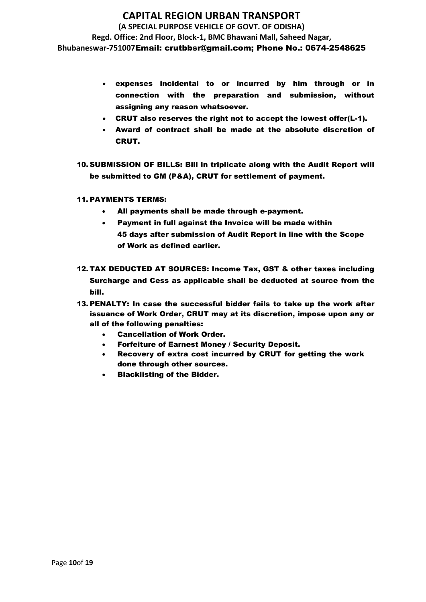# **CAPITAL REGION URBAN TRANSPORT**

**(A SPECIAL PURPOSE VEHICLE OF GOVT. OF ODISHA) Regd. Office: 2nd Floor, Block-1, BMC Bhawani Mall, Saheed Nagar, Bhubaneswar-751007**Email: crutbbsr@gmail.com; Phone No.: 0674-2548625

- expenses incidental to or incurred by him through or in connection with the preparation and submission, without assigning any reason whatsoever.
- CRUT also reserves the right not to accept the lowest offer(L-1).
- Award of contract shall be made at the absolute discretion of CRUT.
- 10. SUBMISSION OF BILLS: Bill in triplicate along with the Audit Report will be submitted to GM (P&A), CRUT for settlement of payment.
- 11. PAYMENTS TERMS:
	- All payments shall be made through e-payment.
	- Payment in full against the Invoice will be made within 45 days after submission of Audit Report in line with the Scope of Work as defined earlier.
- 12. TAX DEDUCTED AT SOURCES: Income Tax, GST & other taxes including Surcharge and Cess as applicable shall be deducted at source from the bill.
- 13. PENALTY: In case the successful bidder fails to take up the work after issuance of Work Order, CRUT may at its discretion, impose upon any or all of the following penalties:
	- Cancellation of Work Order.
	- Forfeiture of Earnest Money / Security Deposit.
	- Recovery of extra cost incurred by CRUT for getting the work done through other sources.
	- Blacklisting of the Bidder.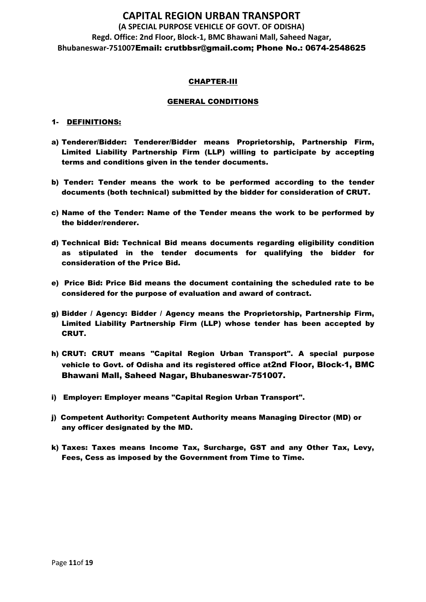#### CHAPTER-III

#### GENERAL CONDITIONS

#### 1- DEFINITIONS:

- a) Tenderer/Bidder: Tenderer/Bidder means Proprietorship, Partnership Firm, Limited Liability Partnership Firm (LLP) willing to participate by accepting terms and conditions given in the tender documents.
- b) Tender: Tender means the work to be performed according to the tender documents (both technical) submitted by the bidder for consideration of CRUT.
- c) Name of the Tender: Name of the Tender means the work to be performed by the bidder/renderer.
- d) Technical Bid: Technical Bid means documents regarding eligibility condition as stipulated in the tender documents for qualifying the bidder for consideration of the Price Bid.
- e) Price Bid: Price Bid means the document containing the scheduled rate to be considered for the purpose of evaluation and award of contract.
- g) Bidder / Agency: Bidder / Agency means the Proprietorship, Partnership Firm, Limited Liability Partnership Firm (LLP) whose tender has been accepted by CRUT.
- h) CRUT: CRUT means "Capital Region Urban Transport". A special purpose vehicle to Govt. of Odisha and its registered office at2nd Floor, Block-1, BMC Bhawani Mall, Saheed Nagar, Bhubaneswar-751007.
- i) Employer: Employer means "Capital Region Urban Transport".
- j) Competent Authority: Competent Authority means Managing Director (MD) or any officer designated by the MD.
- k) Taxes: Taxes means Income Tax, Surcharge, GST and any Other Tax, Levy, Fees, Cess as imposed by the Government from Time to Time.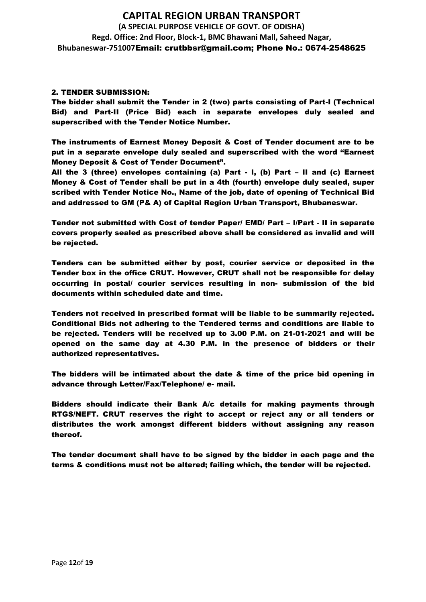#### 2. TENDER SUBMISSION:

The bidder shall submit the Tender in 2 (two) parts consisting of Part-I (Technical Bid) and Part-II (Price Bid) each in separate envelopes duly sealed and superscribed with the Tender Notice Number.

The instruments of Earnest Money Deposit & Cost of Tender document are to be put in a separate envelope duly sealed and superscribed with the word "Earnest Money Deposit & Cost of Tender Document".

All the 3 (three) envelopes containing (a) Part - I, (b) Part – II and (c) Earnest Money & Cost of Tender shall be put in a 4th (fourth) envelope duly sealed, super scribed with Tender Notice No., Name of the job, date of opening of Technical Bid and addressed to GM (P& A) of Capital Region Urban Transport, Bhubaneswar.

Tender not submitted with Cost of tender Paper/ EMD/ Part – I/Part - II in separate covers properly sealed as prescribed above shall be considered as invalid and will be rejected.

Tenders can be submitted either by post, courier service or deposited in the Tender box in the office CRUT. However, CRUT shall not be responsible for delay occurring in postal/ courier services resulting in non- submission of the bid documents within scheduled date and time.

Tenders not received in prescribed format will be liable to be summarily rejected. Conditional Bids not adhering to the Tendered terms and conditions are liable to be rejected. Tenders will be received up to 3.00 P.M. on 21-01-2021 and will be opened on the same day at 4.30 P.M. in the presence of bidders or their authorized representatives.

The bidders will be intimated about the date & time of the price bid opening in advance through Letter/Fax/Telephone/ e- mail.

Bidders should indicate their Bank A/c details for making payments through RTGS/NEFT. CRUT reserves the right to accept or reject any or all tenders or distributes the work amongst different bidders without assigning any reason thereof.

The tender document shall have to be signed by the bidder in each page and the terms & conditions must not be altered; failing which, the tender will be rejected.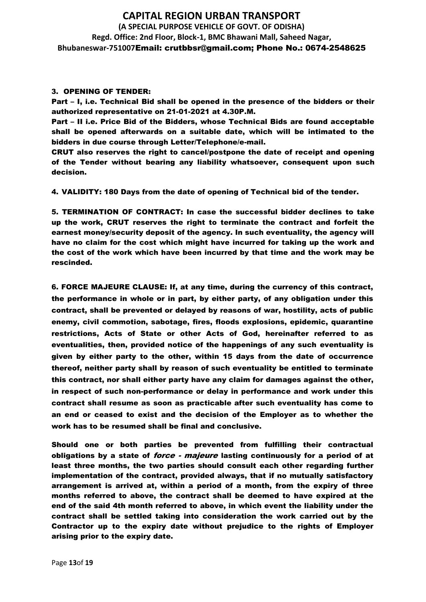#### 3. OPENING OF TENDER:

Part – I, i.e. Technical Bid shall be opened in the presence of the bidders or their authorized representative on 21-01-2021 at 4.30P.M.

Part – II i.e. Price Bid of the Bidders, whose Technical Bids are found acceptable shall be opened afterwards on a suitable date, which will be intimated to the bidders in due course through Letter/Telephone/e-mail.

CRUT also reserves the right to cancel/postpone the date of receipt and opening of the Tender without bearing any liability whatsoever, consequent upon such decision.

4. VALIDITY: 180 Days from the date of opening of Technical bid of the tender.

5. TERMINATION OF CONTRACT: In case the successful bidder declines to take up the work, CRUT reserves the right to terminate the contract and forfeit the earnest money/security deposit of the agency. In such eventuality, the agency will have no claim for the cost which might have incurred for taking up the work and the cost of the work which have been incurred by that time and the work may be rescinded.

6. FORCE MAJEURE CLAUSE: If, at any time, during the currency of this contract, the performance in whole or in part, by either party, of any obligation under this contract, shall be prevented or delayed by reasons of war, hostility, acts of public enemy, civil commotion, sabotage, fires, floods explosions, epidemic, quarantine restrictions, Acts of State or other Acts of God, hereinafter referred to as eventualities, then, provided notice of the happenings of any such eventuality is given by either party to the other, within 15 days from the date of occurrence thereof, neither party shall by reason of such eventuality be entitled to terminate this contract, nor shall either party have any claim for damages against the other, in respect of such non-performance or delay in performance and work under this contract shall resume as soon as practicable after such eventuality has come to an end or ceased to exist and the decision of the Employer as to whether the work has to be resumed shall be final and conclusive.

Should one or both parties be prevented from fulfilling their contractual obligations by a state of *force - majeure* lasting continuously for a period of at least three months, the two parties should consult each other regarding further implementation of the contract, provided always, that if no mutually satisfactory arrangement is arrived at, within a period of a month, from the expiry of three months referred to above, the contract shall be deemed to have expired at the end of the said 4th month referred to above, in which event the liability under the contract shall be settled taking into consideration the work carried out by the Contractor up to the expiry date without prejudice to the rights of Employer arising prior to the expiry date.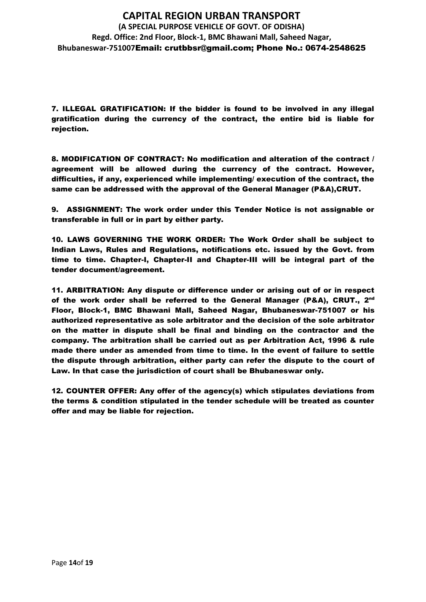7. ILLEGAL GRATIFICATION: If the bidder is found to be involved in any illegal gratification during the currency of the contract, the entire bid is liable for rejection.

8. MODIFICATION OF CONTRACT: No modification and alteration of the contract / agreement will be allowed during the currency of the contract. However, difficulties, if any, experienced while implementing/ execution of the contract, the same can be addressed with the approval of the General Manager (P&A),CRUT.

9. ASSIGNMENT: The work order under this Tender Notice is not assignable or transferable in full or in part by either party.

10. LAWS GOVERNING THE WORK ORDER: The Work Order shall be subject to Indian Laws, Rules and Regulations, notifications etc. issued by the Govt. from time to time. Chapter-I, Chapter-II and Chapter-III will be integral part of the tender document/agreement.

11. ARBITRATION: Any dispute or difference under or arising out of or in respect of the work order shall be referred to the General Manager (P&A), CRUT.,  $2^{\mathsf{nd}}$ Floor, Block-1, BMC Bhawani Mall, Saheed Nagar, Bhubaneswar-751007 or his authorized representative as sole arbitrator and the decision of the sole arbitrator on the matter in dispute shall be final and binding on the contractor and the company. The arbitration shall be carried out as per Arbitration Act, 1996 & rule made there under as amended from time to time. In the event of failure to settle the dispute through arbitration, either party can refer the dispute to the court of Law. In that case the jurisdiction of court shall be Bhubaneswar only.

12. COUNTER OFFER: Any offer of the agency(s) which stipulates deviations from the terms & condition stipulated in the tender schedule will be treated as counter offer and may be liable for rejection.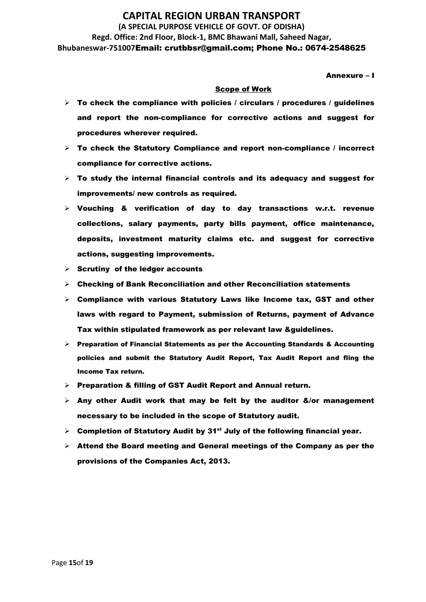Annexure – I

#### Scope of Work

- $\triangleright$  To check the compliance with policies / circulars / procedures / guidelines and report the non-compliance for corrective actions and suggest for procedures wherever required.
- $\triangleright$  To check the Statutory Compliance and report non-compliance / incorrect compliance for corrective actions.
- $\triangleright$  To study the internal financial controls and its adequacy and suggest for improvements/ new controls as required.
- $\triangleright$  Vouching & verification of day to day transactions w.r.t. revenue collections, salary payments, party bills payment, office maintenance, deposits, investment maturity claims etc. and suggest for corrective actions, suggesting improvements.
- $\triangleright$  Scrutiny of the ledger accounts
- $\triangleright$  Checking of Bank Reconciliation and other Reconciliation statements
- $\triangleright$  Compliance with various Statutory Laws like Income tax, GST and other laws with regard to Payment, submission of Returns, payment of Advance Tax within stipulated framework as per relevant law &guidelines.
- $\triangleright$  Preparation of Financial Statements as per the Accounting Standards & Accounting policies and submit the Statutory Audit Report, Tax Audit Report and fling the Income Tax return.
- ➢ Preparation & filling of GST Audit Report and Annual return.
- $\triangleright$  Any other Audit work that may be felt by the auditor &/or management necessary to be included in the scope of Statutory audit.
- $\triangleright$  Completion of Statutory Audit by 31<sup>st</sup> July of the following financial year.
- $\triangleright$  Attend the Board meeting and General meetings of the Company as per the provisions of the Companies Act, 2013.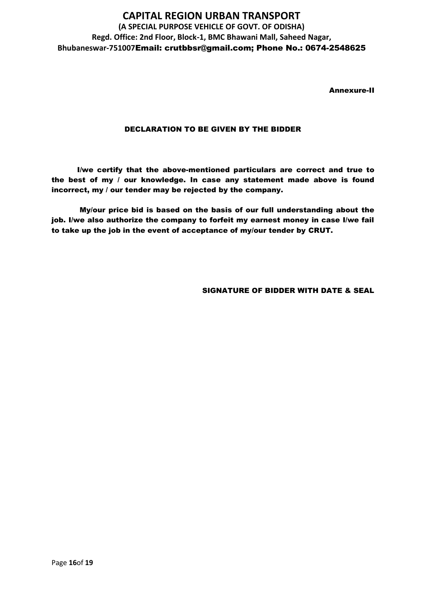Annexure-II

### DECLARATION TO BE GIVEN BY THE BIDDER

I/we certify that the above-mentioned particulars are correct and true to the best of my / our knowledge. In case any statement made above is found incorrect, my / our tender may be rejected by the company.

My/our price bid is based on the basis of our full understanding about the job. I/we also authorize the company to forfeit my earnest money in case I/we fail to take up the job in the event of acceptance of my/our tender by CRUT.

SIGNATURE OF BIDDER WITH DATE & SEAL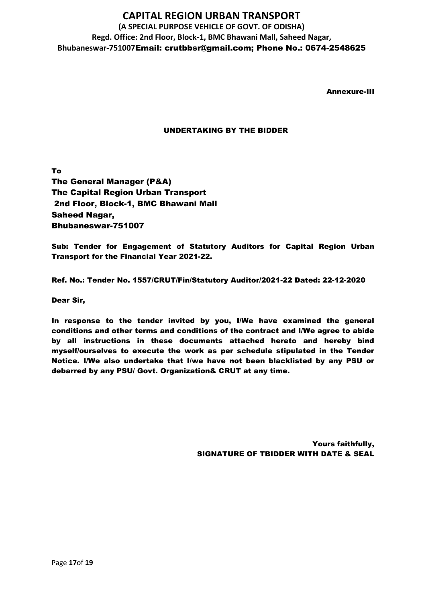Annexure-III

### UNDERTAKING BY THE BIDDER

To The General Manager (P&A) The Capital Region Urban Transport 2nd Floor, Block-1, BMC Bhawani Mall Saheed Nagar, Bhubaneswar-751007

Sub: Tender for Engagement of Statutory Auditors for Capital Region Urban Transport for the Financial Year 2021-22.

Ref. No.: Tender No. 1557/CRUT/Fin/Statutory Auditor/2021-22 Dated: 22-12-2020

Dear Sir,

In response to the tender invited by you, I/We have examined the general conditions and other terms and conditions of the contract and I/We agree to abide by all instructions in these documents attached hereto and hereby bind myself/ourselves to execute the work as per schedule stipulated in the Tender Notice. I/We also undertake that I/we have not been blacklisted by any PSU or debarred by any PSU/ Govt. Organization& CRUT at any time.

> Yours faithfully, SIGNATURE OF TBIDDER WITH DATE & SEAL